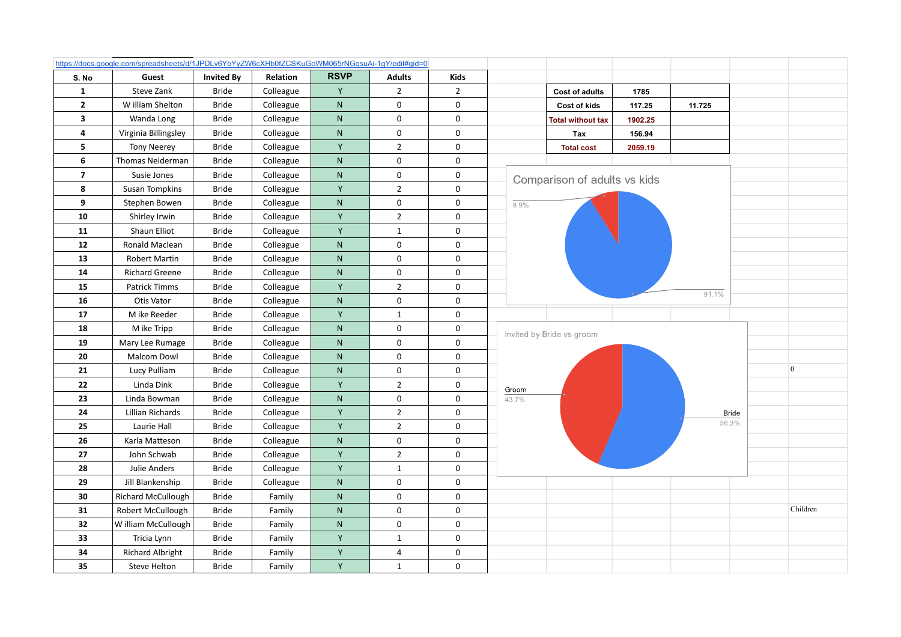|                          | https://docs.google.com/spreadsheets/d/1JPDLv6YbYyZW6cXHb0fZCSKuGoWM065rNGqsuAi-1gY/edit#gid=0 |                   |           |             |                |                |       |                              |         |        |              |                 |
|--------------------------|------------------------------------------------------------------------------------------------|-------------------|-----------|-------------|----------------|----------------|-------|------------------------------|---------|--------|--------------|-----------------|
| S. No                    | Guest                                                                                          | <b>Invited By</b> | Relation  | <b>RSVP</b> | <b>Adults</b>  | <b>Kids</b>    |       |                              |         |        |              |                 |
| $\mathbf{1}$             | Steve Zank                                                                                     | <b>Bride</b>      | Colleague | Y           | $\overline{2}$ | $\overline{2}$ |       | <b>Cost of adults</b>        | 1785    |        |              |                 |
| $\mathbf{2}$             | W illiam Shelton                                                                               | <b>Bride</b>      | Colleague | ${\sf N}$   | 0              | 0              |       | Cost of kids                 | 117.25  | 11.725 |              |                 |
| $\overline{\mathbf{3}}$  | Wanda Long                                                                                     | <b>Bride</b>      | Colleague | ${\sf N}$   | 0              | 0              |       | <b>Total without tax</b>     | 1902.25 |        |              |                 |
| 4                        | Virginia Billingsley                                                                           | <b>Bride</b>      | Colleague | N           | 0              | 0              |       | Tax                          | 156.94  |        |              |                 |
| 5                        | <b>Tony Neerey</b>                                                                             | Bride             | Colleague | Y           | $\overline{2}$ | $\mathbf 0$    |       | <b>Total cost</b>            | 2059.19 |        |              |                 |
| 6                        | Thomas Neiderman                                                                               | <b>Bride</b>      | Colleague | ${\sf N}$   | $\pmb{0}$      | $\pmb{0}$      |       |                              |         |        |              |                 |
| $\overline{\phantom{a}}$ | Susie Jones                                                                                    | <b>Bride</b>      | Colleague | ${\sf N}$   | $\mathbf 0$    | $\pmb{0}$      |       | Comparison of adults vs kids |         |        |              |                 |
| 8                        | <b>Susan Tompkins</b>                                                                          | <b>Bride</b>      | Colleague | Y           | $\overline{2}$ | $\pmb{0}$      |       |                              |         |        |              |                 |
| 9                        | Stephen Bowen                                                                                  | <b>Bride</b>      | Colleague | ${\sf N}$   | $\pmb{0}$      | $\mathbf 0$    | 8.9%  |                              |         |        |              |                 |
| 10                       | Shirley Irwin                                                                                  | <b>Bride</b>      | Colleague | Υ           | $\overline{2}$ | $\pmb{0}$      |       |                              |         |        |              |                 |
| 11                       | Shaun Elliot                                                                                   | <b>Bride</b>      | Colleague | Υ           | $\mathbf{1}$   | $\mathbf 0$    |       |                              |         |        |              |                 |
| 12                       | Ronald Maclean                                                                                 | <b>Bride</b>      | Colleague | ${\sf N}$   | 0              | $\mathbf 0$    |       |                              |         |        |              |                 |
| 13                       | Robert Martin                                                                                  | <b>Bride</b>      | Colleague | ${\sf N}$   | $\mathbf 0$    | $\mathbf 0$    |       |                              |         |        |              |                 |
| 14                       | <b>Richard Greene</b>                                                                          | <b>Bride</b>      | Colleague | ${\sf N}$   | 0              | 0              |       |                              |         |        |              |                 |
| 15                       | Patrick Timms                                                                                  | Bride             | Colleague | Y           | $\overline{2}$ | 0              |       |                              |         |        |              |                 |
| 16                       | Otis Vator                                                                                     | <b>Bride</b>      | Colleague | ${\sf N}$   | 0              | $\mathbf 0$    |       |                              |         |        |              |                 |
| 17                       | M ike Reeder                                                                                   | <b>Bride</b>      | Colleague | Y           | $\mathbf{1}$   | $\mathbf 0$    |       |                              |         |        |              |                 |
| 18                       | M ike Tripp                                                                                    | <b>Bride</b>      | Colleague | ${\sf N}$   | 0              | 0              |       | Invited by Bride vs groom    |         |        |              |                 |
| 19                       | Mary Lee Rumage                                                                                | <b>Bride</b>      | Colleague | ${\sf N}$   | 0              | $\mathbf 0$    |       |                              |         |        |              |                 |
| 20                       | Malcom Dowl                                                                                    | Bride             | Colleague | ${\sf N}$   | $\pmb{0}$      | $\pmb{0}$      |       |                              |         |        |              |                 |
| 21                       | Lucy Pulliam                                                                                   | <b>Bride</b>      | Colleague | ${\sf N}$   | 0              | 0              |       |                              |         |        |              | $\vert 0 \vert$ |
| 22                       | Linda Dink                                                                                     | Bride             | Colleague | Y           | $\overline{2}$ | 0              | Groom |                              |         |        |              |                 |
| 23                       | Linda Bowman                                                                                   | <b>Bride</b>      | Colleague | ${\sf N}$   | 0              | 0              | 43.7% |                              |         |        |              |                 |
| 24                       | Lillian Richards                                                                               | <b>Bride</b>      | Colleague | Y           | $\overline{2}$ | 0              |       |                              |         |        | <b>Bride</b> |                 |
| 25                       | Laurie Hall                                                                                    | Bride             | Colleague | Y           | $\overline{2}$ | $\pmb{0}$      |       |                              |         | 56.3%  |              |                 |
| 26                       | Karla Matteson                                                                                 | <b>Bride</b>      | Colleague | ${\sf N}$   | 0              | 0              |       |                              |         |        |              |                 |
| $27\,$                   | John Schwab                                                                                    | <b>Bride</b>      | Colleague | Y           | $\overline{2}$ | $\pmb{0}$      |       |                              |         |        |              |                 |
| 28                       | Julie Anders                                                                                   | <b>Bride</b>      | Colleague | Y           | $\mathbf{1}$   | $\mathbf 0$    |       |                              |         |        |              |                 |
| 29                       | Jill Blankenship                                                                               | Bride             | Colleague | ${\sf N}$   | $\pmb{0}$      | $\pmb{0}$      |       |                              |         |        |              |                 |
| 30                       | Richard McCullough                                                                             | <b>Bride</b>      | Family    | ${\sf N}$   | $\mathbf 0$    | $\pmb{0}$      |       |                              |         |        |              |                 |
| 31                       | Robert McCullough                                                                              | <b>Bride</b>      | Family    | ${\sf N}$   | $\mathbf 0$    | 0              |       |                              |         |        |              | Children        |
| 32                       | W illiam McCullough                                                                            | <b>Bride</b>      | Family    | ${\sf N}$   | 0              | 0              |       |                              |         |        |              |                 |
| 33                       | Tricia Lynn                                                                                    | <b>Bride</b>      | Family    | Y           | $\mathbf{1}$   | 0              |       |                              |         |        |              |                 |
| 34                       | <b>Richard Albright</b>                                                                        | Bride             | Family    | Υ           | 4              | $\pmb{0}$      |       |                              |         |        |              |                 |
| 35                       | Steve Helton                                                                                   | <b>Bride</b>      | Family    | Y           | $\mathbf{1}$   | $\mathbf{0}$   |       |                              |         |        |              |                 |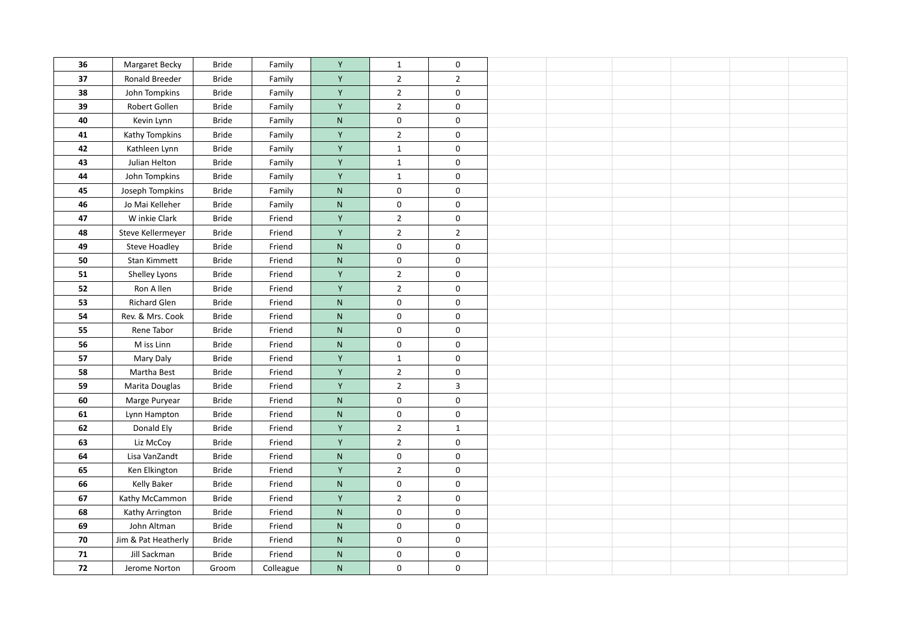| 36         | Margaret Becky       | <b>Bride</b> | Family    | Y            | 1              | $\mathbf 0$    |  |  |  |
|------------|----------------------|--------------|-----------|--------------|----------------|----------------|--|--|--|
| 37         | Ronald Breeder       | <b>Bride</b> | Family    | Y            | $\overline{2}$ | $\overline{2}$ |  |  |  |
| 38         | John Tompkins        | Bride        | Family    | Υ            | $\overline{2}$ | $\pmb{0}$      |  |  |  |
| 39         | Robert Gollen        | <b>Bride</b> | Family    | Y            | $\overline{2}$ | $\pmb{0}$      |  |  |  |
| 40         | Kevin Lynn           | <b>Bride</b> | Family    | ${\sf N}$    | $\mathbf 0$    | $\mathbf 0$    |  |  |  |
| 41         | Kathy Tompkins       | Bride        | Family    | Υ            | $\mathbf 2$    | $\pmb{0}$      |  |  |  |
| 42         | Kathleen Lynn        | Bride        | Family    | Y            | $\mathbf{1}$   | $\mathbf 0$    |  |  |  |
| 43         | Julian Helton        | <b>Bride</b> | Family    | Y            |                | 0              |  |  |  |
| 44         |                      | Bride        |           | Y            | $\mathbf{1}$   |                |  |  |  |
|            | John Tompkins        |              | Family    |              | $\mathbf{1}$   | $\mathbf 0$    |  |  |  |
| 45         | Joseph Tompkins      | <b>Bride</b> | Family    | ${\sf N}$    | $\mathbf 0$    | $\pmb{0}$      |  |  |  |
| 46         | Jo Mai Kelleher      | <b>Bride</b> | Family    | ${\sf N}$    | $\mathbf 0$    | 0              |  |  |  |
| 47         | W inkie Clark        | Bride        | Friend    | Y            | $\overline{2}$ | $\mathbf 0$    |  |  |  |
| 48         | Steve Kellermeyer    | <b>Bride</b> | Friend    | Y            | $\overline{2}$ | $\overline{2}$ |  |  |  |
| 49         | <b>Steve Hoadley</b> | <b>Bride</b> | Friend    | ${\sf N}$    | $\pmb{0}$      | $\mathbf 0$    |  |  |  |
| 50         | Stan Kimmett         | Bride        | Friend    | ${\sf N}$    | $\pmb{0}$      | $\pmb{0}$      |  |  |  |
| 51         | Shelley Lyons        | <b>Bride</b> | Friend    | Y            | $\overline{2}$ | $\pmb{0}$      |  |  |  |
| 52         | Ron A llen           | <b>Bride</b> | Friend    | Y            | $\overline{2}$ | $\mathbf 0$    |  |  |  |
| 53         | Richard Glen         | Bride        | Friend    | ${\sf N}$    | $\pmb{0}$      | $\pmb{0}$      |  |  |  |
| 54         | Rev. & Mrs. Cook     | <b>Bride</b> | Friend    | ${\sf N}$    | $\pmb{0}$      | $\mathbf 0$    |  |  |  |
| 55         | Rene Tabor           | <b>Bride</b> | Friend    | ${\sf N}$    | $\mathbf 0$    | $\mathbf 0$    |  |  |  |
| 56         | M iss Linn           | <b>Bride</b> | Friend    | ${\sf N}$    | $\pmb{0}$      | $\pmb{0}$      |  |  |  |
| 57         | Mary Daly            | Bride        | Friend    | Υ            | $\mathbf{1}$   | $\mathbf 0$    |  |  |  |
| 58         | Martha Best          | <b>Bride</b> | Friend    | Y            | $\overline{2}$ | $\mathbf 0$    |  |  |  |
| 59         | Marita Douglas       | <b>Bride</b> | Friend    | Y            | $\overline{2}$ | $\overline{3}$ |  |  |  |
| 60         | Marge Puryear        | <b>Bride</b> | Friend    | ${\sf N}$    | $\mathbf 0$    | $\mathbf 0$    |  |  |  |
| 61         | Lynn Hampton         | <b>Bride</b> | Friend    | $\mathsf{N}$ | $\mathbf 0$    | $\mathbf 0$    |  |  |  |
| 62         | Donald Ely           | <b>Bride</b> | Friend    | Y            | $\overline{2}$ | $\mathbf{1}$   |  |  |  |
| 63         | Liz McCoy            | <b>Bride</b> | Friend    | Υ            | $\mathbf 2$    | $\pmb{0}$      |  |  |  |
| 64         | Lisa VanZandt        | <b>Bride</b> | Friend    | $\mathsf{N}$ | $\mathbf 0$    | $\pmb{0}$      |  |  |  |
| 65         | Ken Elkington        | <b>Bride</b> | Friend    | Y            | $\overline{2}$ | $\pmb{0}$      |  |  |  |
| 66         | Kelly Baker          | <b>Bride</b> | Friend    | ${\sf N}$    | $\pmb{0}$      | $\pmb{0}$      |  |  |  |
| 67         | Kathy McCammon       | <b>Bride</b> | Friend    | Y            | $\overline{2}$ | $\pmb{0}$      |  |  |  |
| 68         | Kathy Arrington      | <b>Bride</b> | Friend    | ${\sf N}$    | $\mathbf 0$    | $\pmb{0}$      |  |  |  |
| 69         | John Altman          | <b>Bride</b> | Friend    | ${\sf N}$    | $\pmb{0}$      | $\pmb{0}$      |  |  |  |
| 70         | Jim & Pat Heatherly  | Bride        | Friend    | $\mathsf{N}$ | $\mathbf 0$    | $\mathbf 0$    |  |  |  |
| 71         | Jill Sackman         | <b>Bride</b> | Friend    | ${\sf N}$    | $\pmb{0}$      | $\pmb{0}$      |  |  |  |
| ${\bf 72}$ | Jerome Norton        | Groom        | Colleague | N            | $\mathbf 0$    | $\pmb{0}$      |  |  |  |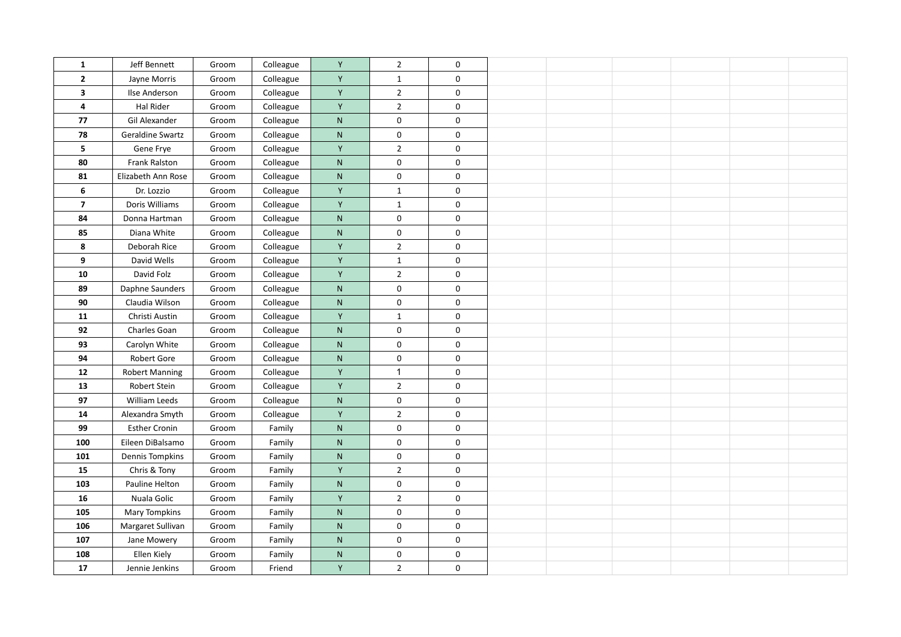| 1              | Jeff Bennett          | Groom | Colleague | Y            | $\overline{2}$ | $\mathbf 0$ |  |  |  |
|----------------|-----------------------|-------|-----------|--------------|----------------|-------------|--|--|--|
| $\mathbf{2}$   | Jayne Morris          | Groom | Colleague | Y            | $\mathbf{1}$   | $\mathbf 0$ |  |  |  |
| 3              | Ilse Anderson         | Groom | Colleague | Y            | $\overline{2}$ | $\mathbf 0$ |  |  |  |
| 4              | Hal Rider             | Groom | Colleague | Y            | $\overline{2}$ | $\mathbf 0$ |  |  |  |
| 77             | Gil Alexander         | Groom | Colleague | $\mathsf{N}$ | $\mathbf 0$    | $\mathbf 0$ |  |  |  |
| 78             | Geraldine Swartz      | Groom | Colleague | ${\sf N}$    | $\mathbf 0$    | $\pmb{0}$   |  |  |  |
| 5              |                       |       |           | Y            |                |             |  |  |  |
|                | Gene Frye             | Groom | Colleague |              | $\overline{2}$ | $\mathbf 0$ |  |  |  |
| 80             | Frank Ralston         | Groom | Colleague | ${\sf N}$    | $\mathbf 0$    | 0           |  |  |  |
| 81             | Elizabeth Ann Rose    | Groom | Colleague | ${\sf N}$    | $\pmb{0}$      | 0           |  |  |  |
| 6              | Dr. Lozzio            | Groom | Colleague | Y            | $\mathbf{1}$   | $\mathbf 0$ |  |  |  |
| $\overline{7}$ | Doris Williams        | Groom | Colleague | Y            | $\mathbf{1}$   | $\mathbf 0$ |  |  |  |
| 84             | Donna Hartman         | Groom | Colleague | ${\sf N}$    | $\pmb{0}$      | $\mathbf 0$ |  |  |  |
| 85             | Diana White           | Groom | Colleague | ${\sf N}$    | $\pmb{0}$      | $\mathbf 0$ |  |  |  |
| 8              | Deborah Rice          | Groom | Colleague | Y            | $\mathbf 2$    | $\mathbf 0$ |  |  |  |
| 9              | David Wells           | Groom | Colleague | Y            | $\mathbf{1}$   | $\mathbf 0$ |  |  |  |
| 10             | David Folz            | Groom | Colleague | Y            | $\mathbf 2$    | $\mathbf 0$ |  |  |  |
| 89             | Daphne Saunders       | Groom | Colleague | ${\sf N}$    | $\pmb{0}$      | $\mathbf 0$ |  |  |  |
| 90             | Claudia Wilson        | Groom | Colleague | $\mathsf{N}$ | $\mathbf 0$    | $\mathbf 0$ |  |  |  |
| 11             | Christi Austin        | Groom | Colleague | Υ            | $\mathbf{1}$   | $\pmb{0}$   |  |  |  |
| 92             | Charles Goan          | Groom | Colleague | ${\sf N}$    | $\pmb{0}$      | $\pmb{0}$   |  |  |  |
| 93             | Carolyn White         | Groom | Colleague | $\mathsf{N}$ | $\mathbf 0$    | $\mathbf 0$ |  |  |  |
| 94             | Robert Gore           | Groom | Colleague | ${\sf N}$    | $\mathbf 0$    | $\mathbf 0$ |  |  |  |
| 12             | <b>Robert Manning</b> | Groom | Colleague | Υ            | $\mathbf{1}$   | $\mathbf 0$ |  |  |  |
| 13             | Robert Stein          | Groom | Colleague | Υ            | $\mathbf 2$    | $\mathbf 0$ |  |  |  |
| 97             | William Leeds         | Groom | Colleague | ${\sf N}$    | $\mathbf 0$    | $\mathbf 0$ |  |  |  |
| 14             | Alexandra Smyth       | Groom | Colleague | Υ            | $\overline{2}$ | $\pmb{0}$   |  |  |  |
| 99             | <b>Esther Cronin</b>  | Groom | Family    | ${\sf N}$    | $\mathbf 0$    | $\pmb{0}$   |  |  |  |
| 100            | Eileen DiBalsamo      | Groom | Family    | ${\sf N}$    | $\mathbf 0$    | $\mathbf 0$ |  |  |  |
| 101            | Dennis Tompkins       | Groom | Family    | ${\sf N}$    | $\mathbf 0$    | $\pmb{0}$   |  |  |  |
| 15             | Chris & Tony          | Groom | Family    | Y            | $\mathbf 2$    | $\pmb{0}$   |  |  |  |
| 103            | Pauline Helton        | Groom | Family    | ${\sf N}$    | $\mathbf 0$    | $\pmb{0}$   |  |  |  |
| 16             | Nuala Golic           | Groom | Family    | Y            | $\overline{2}$ | $\pmb{0}$   |  |  |  |
| 105            | Mary Tompkins         | Groom | Family    | $\mathsf{N}$ | $\mathbf 0$    | $\pmb{0}$   |  |  |  |
| 106            | Margaret Sullivan     | Groom | Family    | ${\sf N}$    | $\mathbf 0$    | $\pmb{0}$   |  |  |  |
| 107            | Jane Mowery           | Groom | Family    | ${\sf N}$    | $\mathbf 0$    | $\pmb{0}$   |  |  |  |
| 108            | Ellen Kiely           | Groom | Family    | N            | $\mathbf 0$    | $\mathbf 0$ |  |  |  |
| 17             | Jennie Jenkins        | Groom | Friend    | Υ            | $\overline{2}$ | 0           |  |  |  |